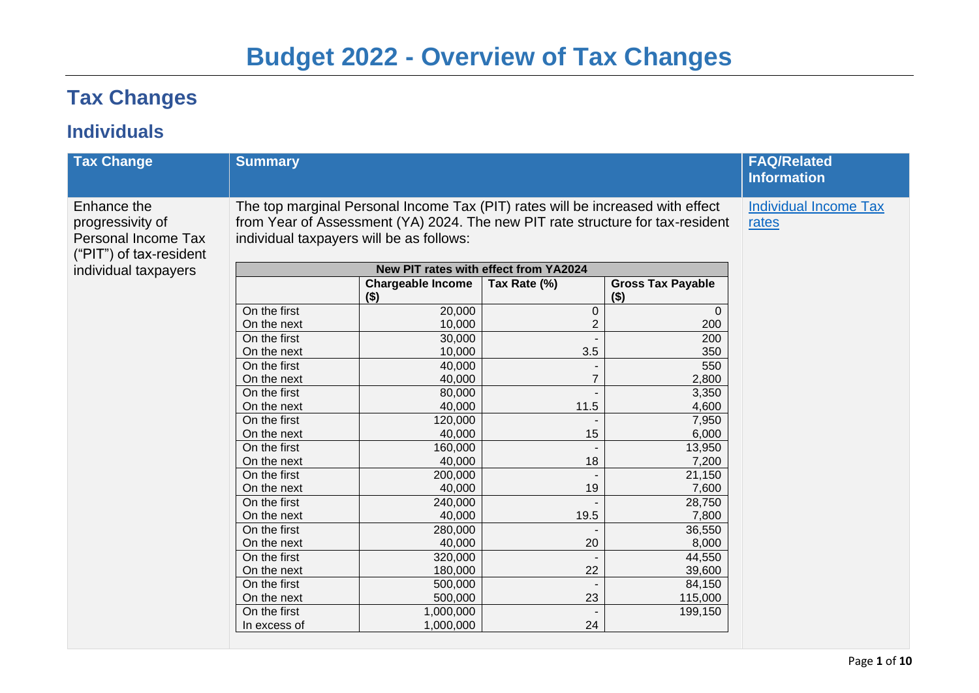# **Budget 2022 - Overview of Tax Changes**

# **Tax Changes**

#### **Individuals**

| <b>Tax Change</b>                                                                                         | <b>Summary</b>                                                                                                                                                                                                                                        |                                     |               |                                     | <b>FAQ/Related</b><br><b>Information</b> |
|-----------------------------------------------------------------------------------------------------------|-------------------------------------------------------------------------------------------------------------------------------------------------------------------------------------------------------------------------------------------------------|-------------------------------------|---------------|-------------------------------------|------------------------------------------|
| Enhance the<br>progressivity of<br>Personal Income Tax<br>("PIT") of tax-resident<br>individual taxpayers | The top marginal Personal Income Tax (PIT) rates will be increased with effect<br>from Year of Assessment (YA) 2024. The new PIT rate structure for tax-resident<br>individual taxpayers will be as follows:<br>New PIT rates with effect from YA2024 |                                     |               |                                     | <b>Individual Income Tax</b><br>rates    |
|                                                                                                           |                                                                                                                                                                                                                                                       | <b>Chargeable Income</b><br>$($ \$) | Tax Rate (%)  | <b>Gross Tax Payable</b><br>$($ \$) |                                          |
|                                                                                                           | On the first<br>On the next                                                                                                                                                                                                                           | 20,000<br>10,000                    | $\Omega$<br>2 | $\Omega$<br>200                     |                                          |
|                                                                                                           | On the first<br>On the next                                                                                                                                                                                                                           | 30,000<br>10,000                    | 3.5           | 200<br>350                          |                                          |
|                                                                                                           | On the first<br>On the next                                                                                                                                                                                                                           | 40,000<br>40,000                    |               | 550<br>2,800                        |                                          |
|                                                                                                           | On the first<br>On the next                                                                                                                                                                                                                           | 80,000<br>40,000                    | 11.5          | 3,350<br>4,600                      |                                          |
|                                                                                                           | On the first<br>On the next                                                                                                                                                                                                                           | 120,000<br>40,000                   | 15            | 7,950<br>6,000                      |                                          |
|                                                                                                           | On the first<br>On the next<br>On the first                                                                                                                                                                                                           | 160,000<br>40,000<br>200,000        | 18            | 13,950<br>7,200<br>21,150           |                                          |
|                                                                                                           | On the next<br>On the first                                                                                                                                                                                                                           | 40,000<br>240,000                   | 19            | 7,600<br>28,750                     |                                          |
|                                                                                                           | On the next<br>On the first                                                                                                                                                                                                                           | 40,000<br>280,000                   | 19.5          | 7,800<br>36,550                     |                                          |
|                                                                                                           | On the next<br>On the first                                                                                                                                                                                                                           | 40,000<br>320,000                   | 20            | 8,000<br>44,550                     |                                          |
|                                                                                                           | On the next<br>On the first                                                                                                                                                                                                                           | 180,000<br>500,000                  | 22            | 39,600<br>84,150                    |                                          |
|                                                                                                           | On the next<br>On the first                                                                                                                                                                                                                           | 500,000<br>1,000,000                | 23            | 115,000<br>199,150                  |                                          |
|                                                                                                           | In excess of                                                                                                                                                                                                                                          | 1,000,000                           | 24            |                                     |                                          |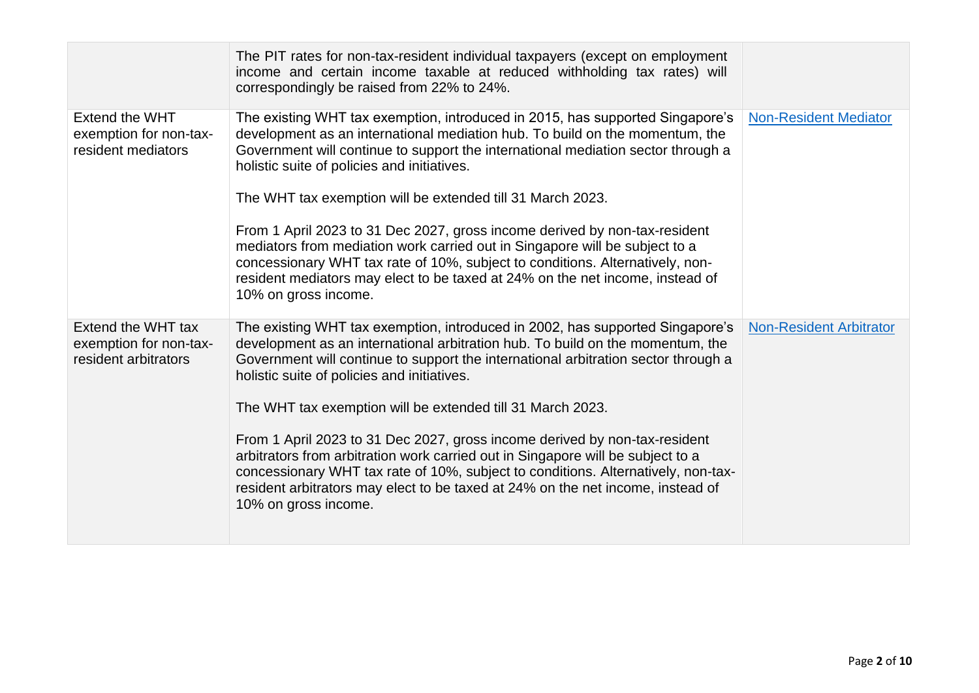|                                                                      | The PIT rates for non-tax-resident individual taxpayers (except on employment<br>income and certain income taxable at reduced withholding tax rates) will<br>correspondingly be raised from 22% to 24%.                                                                                                                                                                                                                                                                                                                                                                                                                  |                                |
|----------------------------------------------------------------------|--------------------------------------------------------------------------------------------------------------------------------------------------------------------------------------------------------------------------------------------------------------------------------------------------------------------------------------------------------------------------------------------------------------------------------------------------------------------------------------------------------------------------------------------------------------------------------------------------------------------------|--------------------------------|
| Extend the WHT<br>exemption for non-tax-<br>resident mediators       | The existing WHT tax exemption, introduced in 2015, has supported Singapore's<br>development as an international mediation hub. To build on the momentum, the<br>Government will continue to support the international mediation sector through a<br>holistic suite of policies and initiatives.<br>The WHT tax exemption will be extended till 31 March 2023.                                                                                                                                                                                                                                                           | <b>Non-Resident Mediator</b>   |
|                                                                      | From 1 April 2023 to 31 Dec 2027, gross income derived by non-tax-resident<br>mediators from mediation work carried out in Singapore will be subject to a<br>concessionary WHT tax rate of 10%, subject to conditions. Alternatively, non-<br>resident mediators may elect to be taxed at 24% on the net income, instead of<br>10% on gross income.                                                                                                                                                                                                                                                                      |                                |
| Extend the WHT tax<br>exemption for non-tax-<br>resident arbitrators | The existing WHT tax exemption, introduced in 2002, has supported Singapore's<br>development as an international arbitration hub. To build on the momentum, the<br>Government will continue to support the international arbitration sector through a<br>holistic suite of policies and initiatives.<br>The WHT tax exemption will be extended till 31 March 2023.<br>From 1 April 2023 to 31 Dec 2027, gross income derived by non-tax-resident<br>arbitrators from arbitration work carried out in Singapore will be subject to a<br>concessionary WHT tax rate of 10%, subject to conditions. Alternatively, non-tax- | <b>Non-Resident Arbitrator</b> |
|                                                                      | resident arbitrators may elect to be taxed at 24% on the net income, instead of<br>10% on gross income.                                                                                                                                                                                                                                                                                                                                                                                                                                                                                                                  |                                |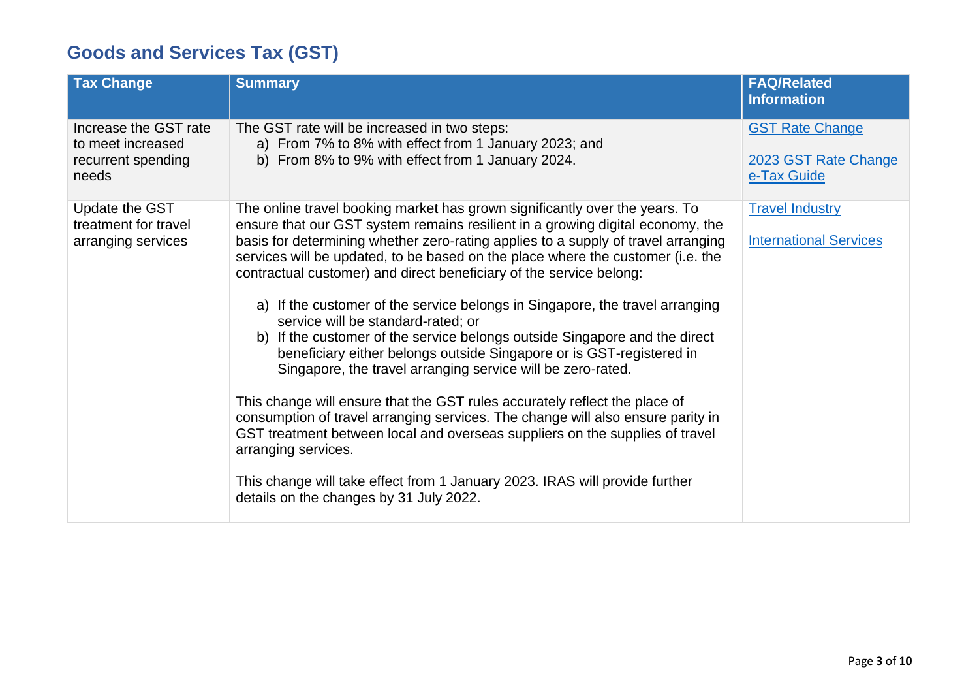## **Goods and Services Tax (GST)**

| <b>Tax Change</b>                                                         | <b>Summary</b>                                                                                                                                                                                                                                                                                                                                                                                                                                                                                                                                                                                                                                                                                                                                                                                                                                                                                                                                                                                                                                                                                                                                            | <b>FAQ/Related</b><br><b>Information</b>                      |
|---------------------------------------------------------------------------|-----------------------------------------------------------------------------------------------------------------------------------------------------------------------------------------------------------------------------------------------------------------------------------------------------------------------------------------------------------------------------------------------------------------------------------------------------------------------------------------------------------------------------------------------------------------------------------------------------------------------------------------------------------------------------------------------------------------------------------------------------------------------------------------------------------------------------------------------------------------------------------------------------------------------------------------------------------------------------------------------------------------------------------------------------------------------------------------------------------------------------------------------------------|---------------------------------------------------------------|
| Increase the GST rate<br>to meet increased<br>recurrent spending<br>needs | The GST rate will be increased in two steps:<br>a) From 7% to 8% with effect from 1 January 2023; and<br>b) From 8% to 9% with effect from 1 January 2024.                                                                                                                                                                                                                                                                                                                                                                                                                                                                                                                                                                                                                                                                                                                                                                                                                                                                                                                                                                                                | <b>GST Rate Change</b><br>2023 GST Rate Change<br>e-Tax Guide |
| Update the GST<br>treatment for travel<br>arranging services              | The online travel booking market has grown significantly over the years. To<br>ensure that our GST system remains resilient in a growing digital economy, the<br>basis for determining whether zero-rating applies to a supply of travel arranging<br>services will be updated, to be based on the place where the customer (i.e. the<br>contractual customer) and direct beneficiary of the service belong:<br>a) If the customer of the service belongs in Singapore, the travel arranging<br>service will be standard-rated; or<br>b) If the customer of the service belongs outside Singapore and the direct<br>beneficiary either belongs outside Singapore or is GST-registered in<br>Singapore, the travel arranging service will be zero-rated.<br>This change will ensure that the GST rules accurately reflect the place of<br>consumption of travel arranging services. The change will also ensure parity in<br>GST treatment between local and overseas suppliers on the supplies of travel<br>arranging services.<br>This change will take effect from 1 January 2023. IRAS will provide further<br>details on the changes by 31 July 2022. | <b>Travel Industry</b><br><b>International Services</b>       |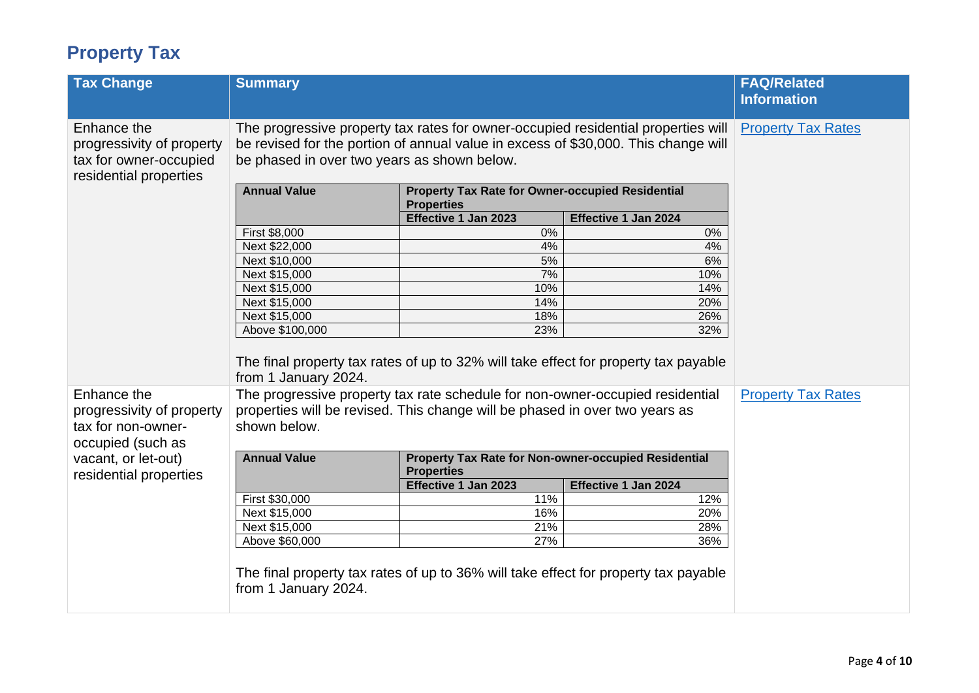## **Property Tax**

| <b>Tax Change</b>                                                                   | <b>Summary</b>                                                                              |                                                                               |                                                                                                                                                                         | <b>FAQ/Related</b><br><b>Information</b> |
|-------------------------------------------------------------------------------------|---------------------------------------------------------------------------------------------|-------------------------------------------------------------------------------|-------------------------------------------------------------------------------------------------------------------------------------------------------------------------|------------------------------------------|
|                                                                                     |                                                                                             |                                                                               |                                                                                                                                                                         |                                          |
| Enhance the<br>progressivity of property                                            | be phased in over two years as shown below.                                                 |                                                                               | The progressive property tax rates for owner-occupied residential properties will<br>be revised for the portion of annual value in excess of \$30,000. This change will | <b>Property Tax Rates</b>                |
| tax for owner-occupied                                                              |                                                                                             |                                                                               |                                                                                                                                                                         |                                          |
| residential properties                                                              | <b>Annual Value</b>                                                                         | <b>Property Tax Rate for Owner-occupied Residential</b><br><b>Properties</b>  |                                                                                                                                                                         |                                          |
|                                                                                     |                                                                                             | Effective 1 Jan 2023                                                          | Effective 1 Jan 2024                                                                                                                                                    |                                          |
|                                                                                     | First \$8,000                                                                               | $0\%$                                                                         | 0%                                                                                                                                                                      |                                          |
|                                                                                     | Next \$22,000                                                                               | 4%                                                                            | 4%                                                                                                                                                                      |                                          |
|                                                                                     | Next \$10,000                                                                               | 5%                                                                            | 6%                                                                                                                                                                      |                                          |
|                                                                                     | Next \$15,000                                                                               | 7%                                                                            | 10%                                                                                                                                                                     |                                          |
|                                                                                     | Next \$15,000                                                                               | 10%                                                                           | 14%                                                                                                                                                                     |                                          |
|                                                                                     | Next \$15,000                                                                               | 14%                                                                           | 20%                                                                                                                                                                     |                                          |
|                                                                                     | Next \$15,000                                                                               | 18%                                                                           | 26%                                                                                                                                                                     |                                          |
|                                                                                     | Above \$100,000                                                                             | 23%                                                                           | 32%                                                                                                                                                                     |                                          |
|                                                                                     | from 1 January 2024.                                                                        |                                                                               | The final property tax rates of up to 32% will take effect for property tax payable                                                                                     |                                          |
| Enhance the<br>progressivity of property<br>tax for non-owner-<br>occupied (such as | properties will be revised. This change will be phased in over two years as<br>shown below. | The progressive property tax rate schedule for non-owner-occupied residential |                                                                                                                                                                         | <b>Property Tax Rates</b>                |
| vacant, or let-out)<br>residential properties                                       | <b>Annual Value</b>                                                                         | Property Tax Rate for Non-owner-occupied Residential<br><b>Properties</b>     |                                                                                                                                                                         |                                          |
|                                                                                     |                                                                                             | Effective 1 Jan 2023                                                          | Effective 1 Jan 2024                                                                                                                                                    |                                          |
|                                                                                     | First \$30,000                                                                              | 11%                                                                           | 12%                                                                                                                                                                     |                                          |
|                                                                                     | Next \$15,000                                                                               | 16%                                                                           | 20%                                                                                                                                                                     |                                          |
|                                                                                     | Next \$15,000                                                                               | 21%                                                                           | 28%                                                                                                                                                                     |                                          |
|                                                                                     | Above \$60,000                                                                              | 27%                                                                           | 36%                                                                                                                                                                     |                                          |
|                                                                                     | from 1 January 2024.                                                                        |                                                                               | The final property tax rates of up to 36% will take effect for property tax payable                                                                                     |                                          |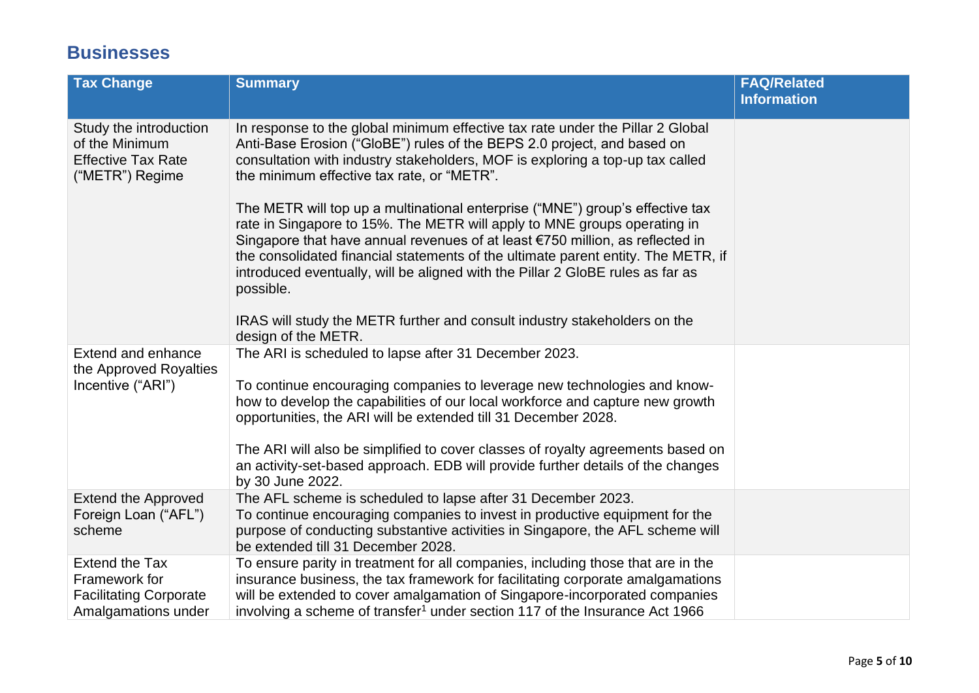#### **Businesses**

| <b>Tax Change</b>                                                                              | <b>Summary</b>                                                                                                                                                                                                                                                                                                                                                                                                                 | <b>FAQ/Related</b> |
|------------------------------------------------------------------------------------------------|--------------------------------------------------------------------------------------------------------------------------------------------------------------------------------------------------------------------------------------------------------------------------------------------------------------------------------------------------------------------------------------------------------------------------------|--------------------|
|                                                                                                |                                                                                                                                                                                                                                                                                                                                                                                                                                | <b>Information</b> |
| Study the introduction<br>of the Minimum<br><b>Effective Tax Rate</b><br>("METR") Regime       | In response to the global minimum effective tax rate under the Pillar 2 Global<br>Anti-Base Erosion ("GloBE") rules of the BEPS 2.0 project, and based on<br>consultation with industry stakeholders, MOF is exploring a top-up tax called<br>the minimum effective tax rate, or "METR".                                                                                                                                       |                    |
|                                                                                                | The METR will top up a multinational enterprise ("MNE") group's effective tax<br>rate in Singapore to 15%. The METR will apply to MNE groups operating in<br>Singapore that have annual revenues of at least €750 million, as reflected in<br>the consolidated financial statements of the ultimate parent entity. The METR, if<br>introduced eventually, will be aligned with the Pillar 2 GloBE rules as far as<br>possible. |                    |
|                                                                                                | IRAS will study the METR further and consult industry stakeholders on the<br>design of the METR.                                                                                                                                                                                                                                                                                                                               |                    |
| Extend and enhance<br>the Approved Royalties<br>Incentive ("ARI")                              | The ARI is scheduled to lapse after 31 December 2023.<br>To continue encouraging companies to leverage new technologies and know-<br>how to develop the capabilities of our local workforce and capture new growth<br>opportunities, the ARI will be extended till 31 December 2028.                                                                                                                                           |                    |
|                                                                                                | The ARI will also be simplified to cover classes of royalty agreements based on<br>an activity-set-based approach. EDB will provide further details of the changes<br>by 30 June 2022.                                                                                                                                                                                                                                         |                    |
| <b>Extend the Approved</b><br>Foreign Loan ("AFL")<br>scheme                                   | The AFL scheme is scheduled to lapse after 31 December 2023.<br>To continue encouraging companies to invest in productive equipment for the<br>purpose of conducting substantive activities in Singapore, the AFL scheme will<br>be extended till 31 December 2028.                                                                                                                                                            |                    |
| <b>Extend the Tax</b><br>Framework for<br><b>Facilitating Corporate</b><br>Amalgamations under | To ensure parity in treatment for all companies, including those that are in the<br>insurance business, the tax framework for facilitating corporate amalgamations<br>will be extended to cover amalgamation of Singapore-incorporated companies<br>involving a scheme of transfer <sup>1</sup> under section 117 of the Insurance Act 1966                                                                                    |                    |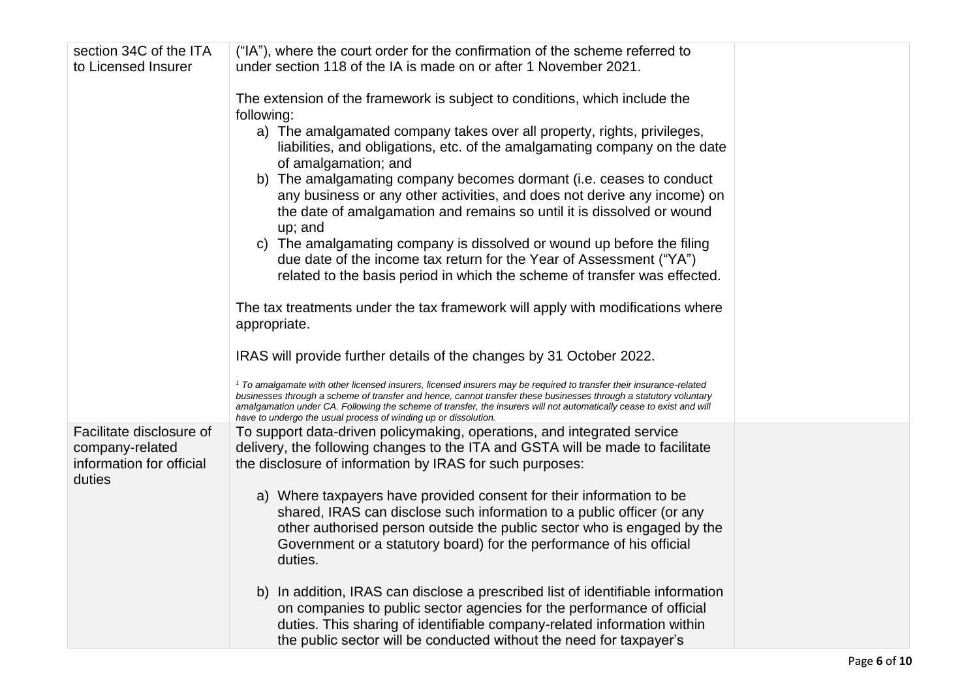| section 34C of the ITA                                                            | ("IA"), where the court order for the confirmation of the scheme referred to                                                                                                                                                                                                                                                                                                                                                                                                                                                                                                                                                                                                                                                                                                                                                                                                                                               |  |
|-----------------------------------------------------------------------------------|----------------------------------------------------------------------------------------------------------------------------------------------------------------------------------------------------------------------------------------------------------------------------------------------------------------------------------------------------------------------------------------------------------------------------------------------------------------------------------------------------------------------------------------------------------------------------------------------------------------------------------------------------------------------------------------------------------------------------------------------------------------------------------------------------------------------------------------------------------------------------------------------------------------------------|--|
| to Licensed Insurer                                                               | under section 118 of the IA is made on or after 1 November 2021.                                                                                                                                                                                                                                                                                                                                                                                                                                                                                                                                                                                                                                                                                                                                                                                                                                                           |  |
|                                                                                   | The extension of the framework is subject to conditions, which include the<br>following:<br>a) The amalgamated company takes over all property, rights, privileges,<br>liabilities, and obligations, etc. of the amalgamating company on the date<br>of amalgamation; and<br>b) The amalgamating company becomes dormant (i.e. ceases to conduct<br>any business or any other activities, and does not derive any income) on<br>the date of amalgamation and remains so until it is dissolved or wound<br>up; and<br>The amalgamating company is dissolved or wound up before the filing<br>C)<br>due date of the income tax return for the Year of Assessment ("YA")<br>related to the basis period in which the scheme of transfer was effected.<br>The tax treatments under the tax framework will apply with modifications where<br>appropriate.                                                                       |  |
|                                                                                   | IRAS will provide further details of the changes by 31 October 2022.<br><sup>1</sup> To amalgamate with other licensed insurers, licensed insurers may be required to transfer their insurance-related<br>businesses through a scheme of transfer and hence, cannot transfer these businesses through a statutory voluntary<br>amalgamation under CA. Following the scheme of transfer, the insurers will not automatically cease to exist and will                                                                                                                                                                                                                                                                                                                                                                                                                                                                        |  |
| Facilitate disclosure of<br>company-related<br>information for official<br>duties | have to undergo the usual process of winding up or dissolution.<br>To support data-driven policymaking, operations, and integrated service<br>delivery, the following changes to the ITA and GSTA will be made to facilitate<br>the disclosure of information by IRAS for such purposes:<br>a) Where taxpayers have provided consent for their information to be<br>shared, IRAS can disclose such information to a public officer (or any<br>other authorised person outside the public sector who is engaged by the<br>Government or a statutory board) for the performance of his official<br>duties.<br>In addition, IRAS can disclose a prescribed list of identifiable information<br>b)<br>on companies to public sector agencies for the performance of official<br>duties. This sharing of identifiable company-related information within<br>the public sector will be conducted without the need for taxpayer's |  |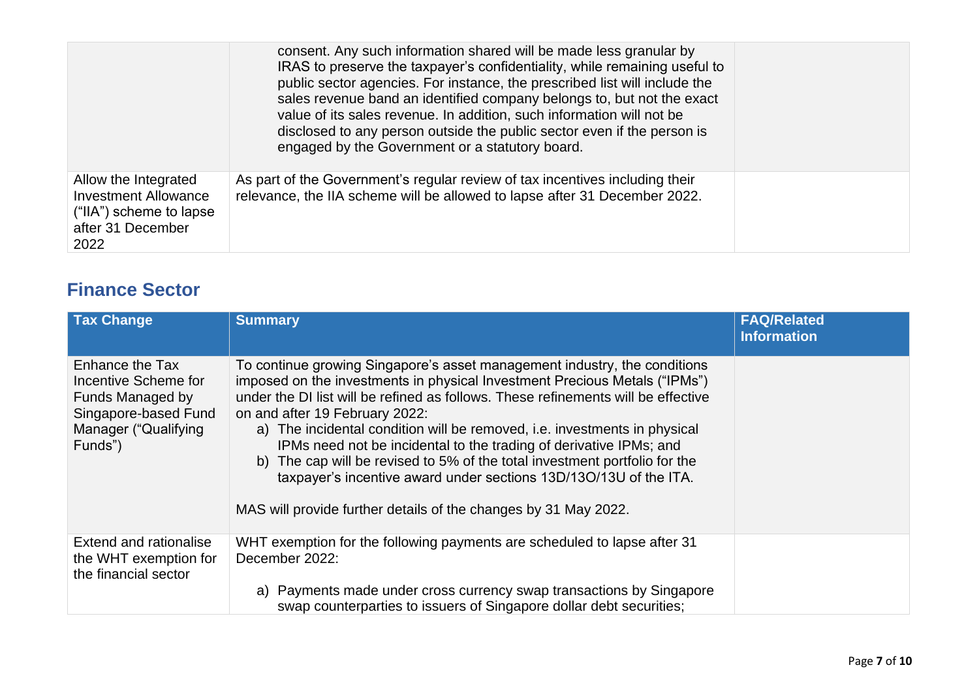|                                                                                                             | consent. Any such information shared will be made less granular by<br>IRAS to preserve the taxpayer's confidentiality, while remaining useful to<br>public sector agencies. For instance, the prescribed list will include the<br>sales revenue band an identified company belongs to, but not the exact<br>value of its sales revenue. In addition, such information will not be<br>disclosed to any person outside the public sector even if the person is<br>engaged by the Government or a statutory board. |  |
|-------------------------------------------------------------------------------------------------------------|-----------------------------------------------------------------------------------------------------------------------------------------------------------------------------------------------------------------------------------------------------------------------------------------------------------------------------------------------------------------------------------------------------------------------------------------------------------------------------------------------------------------|--|
| Allow the Integrated<br><b>Investment Allowance</b><br>("IIA") scheme to lapse<br>after 31 December<br>2022 | As part of the Government's regular review of tax incentives including their<br>relevance, the IIA scheme will be allowed to lapse after 31 December 2022.                                                                                                                                                                                                                                                                                                                                                      |  |

#### **Finance Sector**

| <b>Tax Change</b>                                                                                                      | <b>Summary</b>                                                                                                                                                                                                                                                                                                                                                                                                                                                                                                                                                                                                                                          | <b>FAQ/Related</b><br><b>Information</b> |
|------------------------------------------------------------------------------------------------------------------------|---------------------------------------------------------------------------------------------------------------------------------------------------------------------------------------------------------------------------------------------------------------------------------------------------------------------------------------------------------------------------------------------------------------------------------------------------------------------------------------------------------------------------------------------------------------------------------------------------------------------------------------------------------|------------------------------------------|
| Enhance the Tax<br>Incentive Scheme for<br>Funds Managed by<br>Singapore-based Fund<br>Manager ("Qualifying<br>Funds") | To continue growing Singapore's asset management industry, the conditions<br>imposed on the investments in physical Investment Precious Metals ("IPMs")<br>under the DI list will be refined as follows. These refinements will be effective<br>on and after 19 February 2022:<br>a) The incidental condition will be removed, i.e. investments in physical<br>IPMs need not be incidental to the trading of derivative IPMs; and<br>b) The cap will be revised to 5% of the total investment portfolio for the<br>taxpayer's incentive award under sections 13D/13O/13U of the ITA.<br>MAS will provide further details of the changes by 31 May 2022. |                                          |
| <b>Extend and rationalise</b><br>the WHT exemption for<br>the financial sector                                         | WHT exemption for the following payments are scheduled to lapse after 31<br>December 2022:<br>a) Payments made under cross currency swap transactions by Singapore                                                                                                                                                                                                                                                                                                                                                                                                                                                                                      |                                          |
|                                                                                                                        | swap counterparties to issuers of Singapore dollar debt securities;                                                                                                                                                                                                                                                                                                                                                                                                                                                                                                                                                                                     |                                          |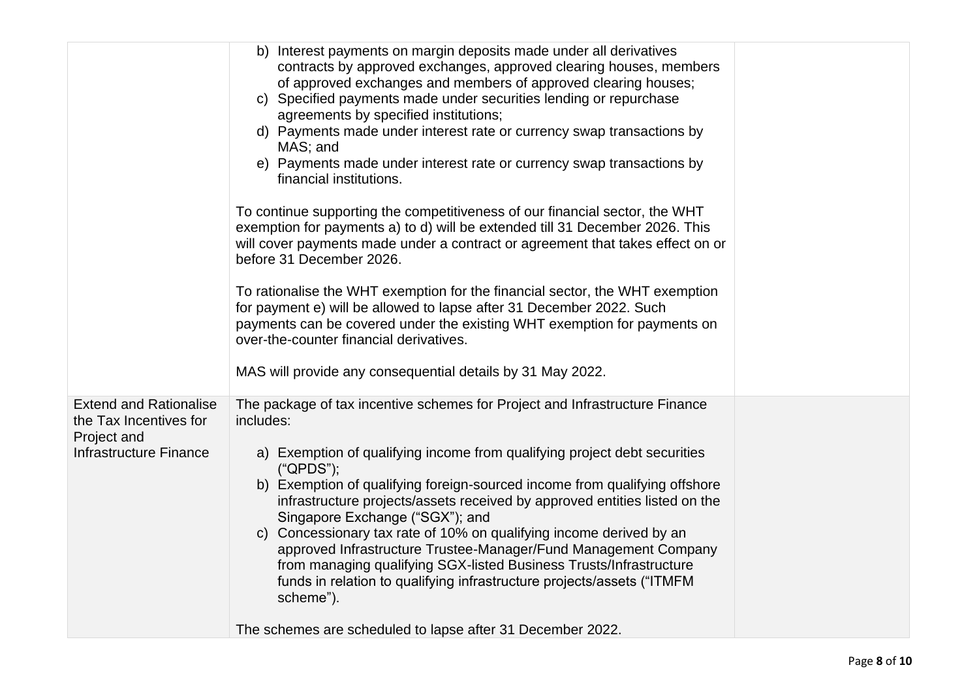|                                                                                                         | b) Interest payments on margin deposits made under all derivatives<br>contracts by approved exchanges, approved clearing houses, members<br>of approved exchanges and members of approved clearing houses;<br>c) Specified payments made under securities lending or repurchase<br>agreements by specified institutions;<br>d) Payments made under interest rate or currency swap transactions by<br>MAS; and<br>e) Payments made under interest rate or currency swap transactions by<br>financial institutions.                                                                                                                                                                        |  |
|---------------------------------------------------------------------------------------------------------|------------------------------------------------------------------------------------------------------------------------------------------------------------------------------------------------------------------------------------------------------------------------------------------------------------------------------------------------------------------------------------------------------------------------------------------------------------------------------------------------------------------------------------------------------------------------------------------------------------------------------------------------------------------------------------------|--|
|                                                                                                         | To continue supporting the competitiveness of our financial sector, the WHT<br>exemption for payments a) to d) will be extended till 31 December 2026. This<br>will cover payments made under a contract or agreement that takes effect on or<br>before 31 December 2026.                                                                                                                                                                                                                                                                                                                                                                                                                |  |
|                                                                                                         | To rationalise the WHT exemption for the financial sector, the WHT exemption<br>for payment e) will be allowed to lapse after 31 December 2022. Such<br>payments can be covered under the existing WHT exemption for payments on<br>over-the-counter financial derivatives.<br>MAS will provide any consequential details by 31 May 2022.                                                                                                                                                                                                                                                                                                                                                |  |
| <b>Extend and Rationalise</b><br>the Tax Incentives for<br>Project and<br><b>Infrastructure Finance</b> | The package of tax incentive schemes for Project and Infrastructure Finance<br>includes:<br>a) Exemption of qualifying income from qualifying project debt securities<br>("QPDS");<br>b) Exemption of qualifying foreign-sourced income from qualifying offshore<br>infrastructure projects/assets received by approved entities listed on the<br>Singapore Exchange ("SGX"); and<br>c) Concessionary tax rate of 10% on qualifying income derived by an<br>approved Infrastructure Trustee-Manager/Fund Management Company<br>from managing qualifying SGX-listed Business Trusts/Infrastructure<br>funds in relation to qualifying infrastructure projects/assets ("ITMFM<br>scheme"). |  |
|                                                                                                         | The schemes are scheduled to lapse after 31 December 2022.                                                                                                                                                                                                                                                                                                                                                                                                                                                                                                                                                                                                                               |  |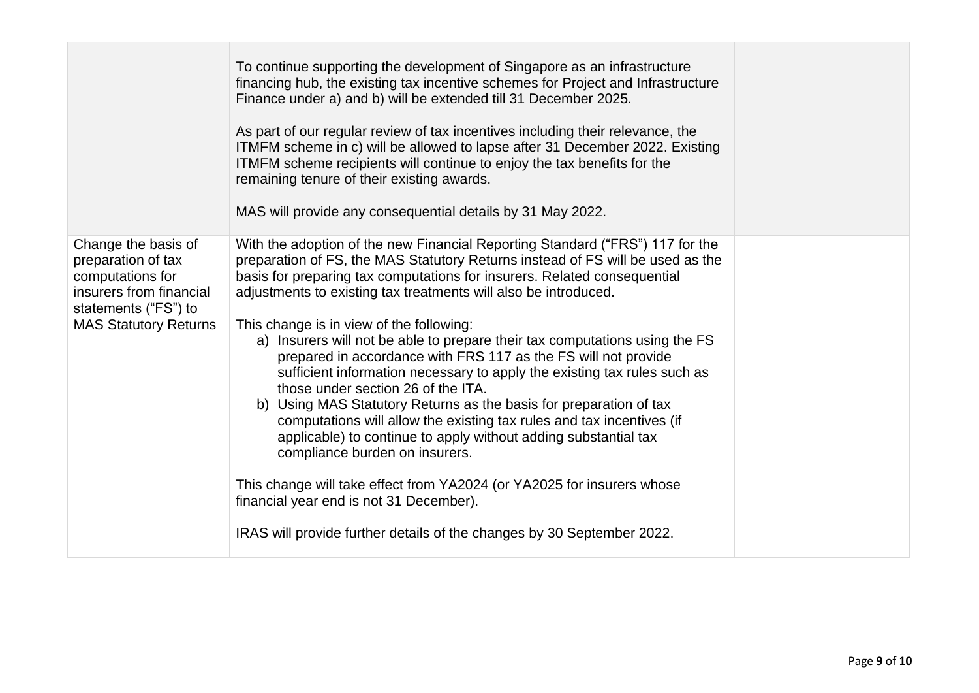|                                                                                                                                                  | To continue supporting the development of Singapore as an infrastructure<br>financing hub, the existing tax incentive schemes for Project and Infrastructure<br>Finance under a) and b) will be extended till 31 December 2025.<br>As part of our regular review of tax incentives including their relevance, the<br>ITMFM scheme in c) will be allowed to lapse after 31 December 2022. Existing<br>ITMFM scheme recipients will continue to enjoy the tax benefits for the<br>remaining tenure of their existing awards.<br>MAS will provide any consequential details by 31 May 2022.                                                                                                                                                                                                                                                                                                                                                                                                                                                                                         |  |
|--------------------------------------------------------------------------------------------------------------------------------------------------|----------------------------------------------------------------------------------------------------------------------------------------------------------------------------------------------------------------------------------------------------------------------------------------------------------------------------------------------------------------------------------------------------------------------------------------------------------------------------------------------------------------------------------------------------------------------------------------------------------------------------------------------------------------------------------------------------------------------------------------------------------------------------------------------------------------------------------------------------------------------------------------------------------------------------------------------------------------------------------------------------------------------------------------------------------------------------------|--|
| Change the basis of<br>preparation of tax<br>computations for<br>insurers from financial<br>statements ("FS") to<br><b>MAS Statutory Returns</b> | With the adoption of the new Financial Reporting Standard ("FRS") 117 for the<br>preparation of FS, the MAS Statutory Returns instead of FS will be used as the<br>basis for preparing tax computations for insurers. Related consequential<br>adjustments to existing tax treatments will also be introduced.<br>This change is in view of the following:<br>a) Insurers will not be able to prepare their tax computations using the FS<br>prepared in accordance with FRS 117 as the FS will not provide<br>sufficient information necessary to apply the existing tax rules such as<br>those under section 26 of the ITA.<br>b) Using MAS Statutory Returns as the basis for preparation of tax<br>computations will allow the existing tax rules and tax incentives (if<br>applicable) to continue to apply without adding substantial tax<br>compliance burden on insurers.<br>This change will take effect from YA2024 (or YA2025 for insurers whose<br>financial year end is not 31 December).<br>IRAS will provide further details of the changes by 30 September 2022. |  |